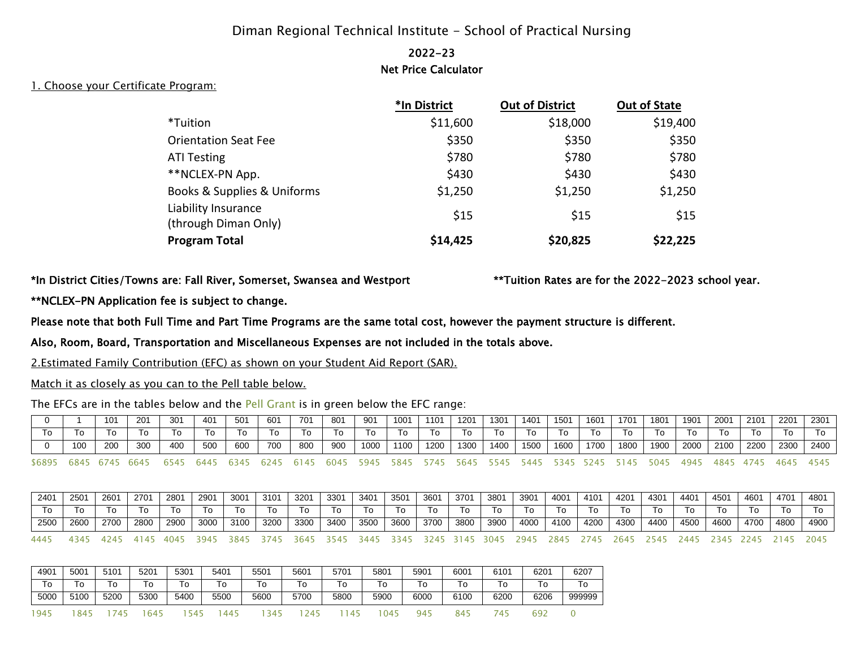# Diman Regional Technical Institute - School of Practical Nursing

## 2022-23 Net Price Calculator

#### 1. Choose your Certificate Program:

|                                             | *In District | <b>Out of District</b> | <b>Out of State</b> |
|---------------------------------------------|--------------|------------------------|---------------------|
| *Tuition                                    | \$11,600     | \$18,000               | \$19,400            |
| <b>Orientation Seat Fee</b>                 | \$350        | \$350                  | \$350               |
| <b>ATI Testing</b>                          | \$780        | \$780                  | \$780               |
| **NCLEX-PN App.                             | \$430        | \$430                  | \$430               |
| Books & Supplies & Uniforms                 | \$1,250      | \$1,250                | \$1,250             |
| Liability Insurance<br>(through Diman Only) | \$15         | \$15                   | \$15                |
| <b>Program Total</b>                        | \$14,425     | \$20,825               | \$22,225            |

#### \*In District Cities/Towns are: Fall River, Somerset, Swansea and Westport \*\*Tuition Rates are for the 2022-2023 school year.

## \*\*NCLEX-PN Application fee is subject to change.

Please note that both Full Time and Part Time Programs are the same total cost, however the payment structure is different.

Also, Room, Board, Transportation and Miscellaneous Expenses are not included in the totals above.

2.Estimated Family Contribution (EFC) as shown on your Student Aid Report (SAR).

### Match it as closely as you can to the Pell table below.

The EFCs are in the tables below and the Pell Grant is in green below the EFC range:

|    |     | 101 | 201 | 301 | 401 | -501  | 601 | 701 | 801 | $90^{\prime}$ | 1001 | 1101 | 1201 | 1301 | 1401 | 1501 | 1601 | 1701 | 1801 | 1901 | 2001 | 2101 | 2201 | 2301 |
|----|-----|-----|-----|-----|-----|-------|-----|-----|-----|---------------|------|------|------|------|------|------|------|------|------|------|------|------|------|------|
| To | 10  |     |     | ١o  | 10  | - I G | 10  | 10  | 10  | 10            | 10   |      |      | ı o  |      |      | ۱٥   | ١o   |      |      | 10   | 10   | ١o   | 10   |
|    |     |     |     |     |     |       |     |     |     |               |      |      |      |      |      |      |      |      |      |      |      |      |      |      |
|    | 100 | 200 | 300 | 400 | 500 | 600   | 700 | 800 | 900 | 1000          | 1100 | 1200 | 1300 | 1400 | 1500 | 1600 | 1700 | 1800 | 1900 | 2000 | 2100 | 2200 | 2300 | 2400 |

| 2401 | 2501 | 2601 | 2701 | 2801 | 2901 | 3001 | 3101 | 3201 | 3301 | 3401 | 3501 | 3601 | 3701 | 3801 | 3901 | 4001 | 4101 | 4201 | 4301 | 4401 | 4501 | 4601 | 4701 | 4801 |
|------|------|------|------|------|------|------|------|------|------|------|------|------|------|------|------|------|------|------|------|------|------|------|------|------|
|      |      |      | 10   |      |      |      | 10   | 10   | 10   | 10   | 10   |      |      | 10   | 10   |      |      |      | 10   |      | To   |      | 10   | 10   |
| 2500 | 2600 | 2700 | 2800 | 2900 | 3000 | 3100 | 3200 | 3300 | 3400 | 3500 | 3600 | 3700 |      | 3900 |      |      |      |      |      |      |      |      | 4800 | 4900 |
|      |      |      |      |      |      |      |      |      |      |      |      |      | 3800 |      | 4000 | 4100 | 4200 | 4300 | 4400 | 4500 | 4600 | 4700 |      |      |

| 4901 | 5001 | 5101 | 5201 | 5301 | 5401 | 5501       | 5601 | 5701    | 5801     | 5901 | 600' | 6101 | 6201          | 6207   |
|------|------|------|------|------|------|------------|------|---------|----------|------|------|------|---------------|--------|
| To   | То   | То   | Го   | ō    | o    | 0          | l O  | $\circ$ | <b>U</b> | O    | o    | Го   | 0             | To     |
| 5000 | 5100 | 5200 | 5300 | 5400 | 5500 | 5600       | 5700 | 5800    | 5900     | 6000 | 6100 | 6200 | 6206          | 999999 |
| 945  | 84!  |      | 645  |      | 445  | <u>: Д</u> | , д  |         | 04       | 94   | 845  | 4    | $\sim$<br>692 |        |